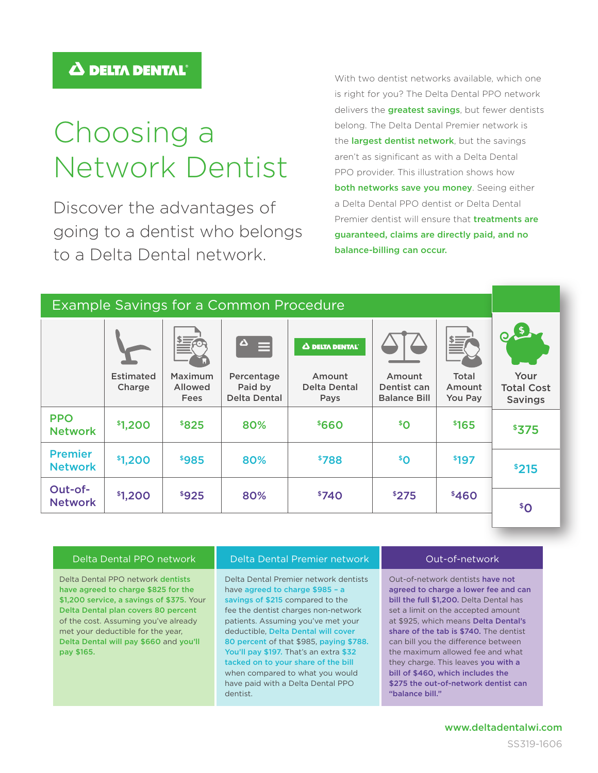pay \$165.

## Choosing a Network Dentist

Discover the advantages of going to a dentist who belongs to a Delta Dental network.

With two dentist networks available, which one is right for you? The Delta Dental PPO network delivers the **greatest savings**, but fewer dentists belong. The Delta Dental Premier network is the largest dentist network, but the savings aren't as significant as with a Delta Dental PPO provider. This illustration shows how both networks save you money. Seeing either a Delta Dental PPO dentist or Delta Dental Premier dentist will ensure that **treatments are** guaranteed, claims are directly paid, and no balance-billing can occur.

| <b>Example Savings for a Common Procedure</b> |                            |                                          |                                              |                                              |                                              |                            |                                             |
|-----------------------------------------------|----------------------------|------------------------------------------|----------------------------------------------|----------------------------------------------|----------------------------------------------|----------------------------|---------------------------------------------|
|                                               |                            | $\frac{1}{2}$<br>$=$                     | $\Delta$<br>▤                                | Δ DELTA DENTAL                               |                                              | $\equiv$                   |                                             |
|                                               | <b>Estimated</b><br>Charge | Maximum<br><b>Allowed</b><br><b>Fees</b> | Percentage<br>Paid by<br><b>Delta Dental</b> | Amount<br><b>Delta Dental</b><br><b>Pays</b> | Amount<br>Dentist can<br><b>Balance Bill</b> | Total<br>Amount<br>You Pay | Your<br><b>Total Cost</b><br><b>Savings</b> |
| <b>PPO</b><br><b>Network</b>                  | \$1,200                    | \$825                                    | 80%                                          | \$660                                        | ${}^5$ O                                     | \$165                      | \$375                                       |
| <b>Premier</b><br><b>Network</b>              | \$1,200                    | \$985                                    | 80%                                          | \$788                                        | \$0                                          | \$197                      | \$215                                       |
| Out-of-<br><b>Network</b>                     | \$1,200                    | \$925                                    | 80%                                          | \$740                                        | \$275                                        | \$460                      | $\mathcal{S}^{\mathcal{S}}$                 |

| Delta Dental PPO network                  | Delta Dental Premier network            | Out-of-network                          |
|-------------------------------------------|-----------------------------------------|-----------------------------------------|
| Delta Dental PPO network dentists         | Delta Dental Premier network dentists   | Out-of-network dentists have not        |
| have agreed to charge \$825 for the       | have agreed to charge \$985 - a         | agreed to charge a lower fee and can    |
| \$1,200 service, a savings of \$375. Your | savings of \$215 compared to the        | bill the full \$1,200. Delta Dental has |
| Delta Dental plan covers 80 percent       | fee the dentist charges non-network     | set a limit on the accepted amount      |
| of the cost. Assuming you've already      | patients. Assuming you've met your      | at \$925, which means Delta Dental's    |
| met your deductible for the year,         | deductible, Delta Dental will cover     | share of the tab is \$740. The dentist  |
| Delta Dental will pay \$660 and you'll    | 80 percent of that \$985, paying \$788. | can bill you the difference between     |

dentist.

You'll pay \$197. That's an extra \$32 tacked on to your share of the bill when compared to what you would have paid with a Delta Dental PPO "balance bill."

the maximum allowed fee and what they charge. This leaves you with a bill of \$460, which includes the \$275 the out-of-network dentist can

## www.deltadentalwi.com

SS319-1606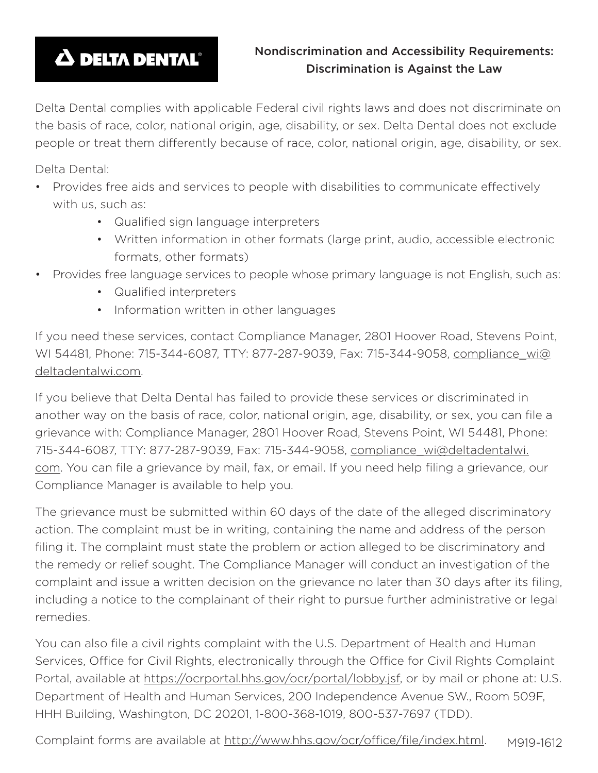## **A DELTA DENTAL®**

Delta Dental complies with applicable Federal civil rights laws and does not discriminate on the basis of race, color, national origin, age, disability, or sex. Delta Dental does not exclude people or treat them differently because of race, color, national origin, age, disability, or sex.

Delta Dental:

- Provides free aids and services to people with disabilities to communicate effectively with us, such as:
	- Qualified sign language interpreters
	- Written information in other formats (large print, audio, accessible electronic formats, other formats)
- Provides free language services to people whose primary language is not English, such as:
	- Qualified interpreters
	- Information written in other languages

If you need these services, contact Compliance Manager, 2801 Hoover Road, Stevens Point, WI 54481, Phone: 715-344-6087, TTY: 877-287-9039, Fax: 715-344-9058, compliance\_wi@ deltadentalwi.com.

If you believe that Delta Dental has failed to provide these services or discriminated in another way on the basis of race, color, national origin, age, disability, or sex, you can file a grievance with: Compliance Manager, 2801 Hoover Road, Stevens Point, WI 54481, Phone: 715-344-6087, TTY: 877-287-9039, Fax: 715-344-9058, compliance\_wi@deltadentalwi. com. You can file a grievance by mail, fax, or email. If you need help filing a grievance, our Compliance Manager is available to help you.

The grievance must be submitted within 60 days of the date of the alleged discriminatory action. The complaint must be in writing, containing the name and address of the person filing it. The complaint must state the problem or action alleged to be discriminatory and the remedy or relief sought. The Compliance Manager will conduct an investigation of the complaint and issue a written decision on the grievance no later than 30 days after its filing, including a notice to the complainant of their right to pursue further administrative or legal remedies.

You can also file a civil rights complaint with the U.S. Department of Health and Human Services, Office for Civil Rights, electronically through the Office for Civil Rights Complaint Portal, available at https://ocrportal.hhs.gov/ocr/portal/lobby.jsf, or by mail or phone at: U.S. Department of Health and Human Services, 200 Independence Avenue SW., Room 509F, HHH Building, Washington, DC 20201, 1-800-368-1019, 800-537-7697 (TDD).

Complaint forms are available at http://www.hhs.gov/ocr/office/file/index.html. M919-1612